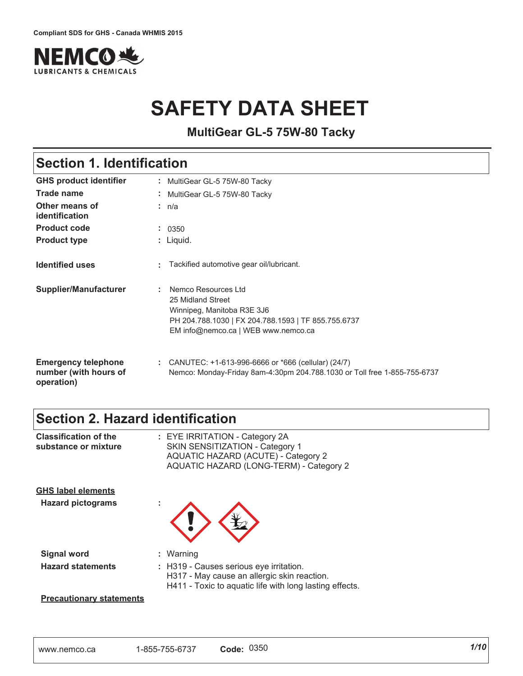

# **SAFETY DATA SHEET**

**MultiGear GL-5 75W-80 Tacky**

### **Section 1. Identification**

| <b>GHS product identifier</b>                                     | : MultiGear GL-5 75W-80 Tacky                                                                                                                                        |
|-------------------------------------------------------------------|----------------------------------------------------------------------------------------------------------------------------------------------------------------------|
| Trade name                                                        | : MultiGear GL-5 75W-80 Tacky                                                                                                                                        |
| Other means of<br>identification                                  | : n/a                                                                                                                                                                |
| <b>Product code</b>                                               | : 0350                                                                                                                                                               |
| <b>Product type</b>                                               | : Liquid.                                                                                                                                                            |
| <b>Identified uses</b>                                            | Tackified automotive gear oil/lubricant.                                                                                                                             |
| <b>Supplier/Manufacturer</b>                                      | Nemco Resources Ltd<br>25 Midland Street<br>Winnipeg, Manitoba R3E 3J6<br>PH 204.788.1030   FX 204.788.1593   TF 855.755.6737<br>EM info@nemco.ca   WEB www.nemco.ca |
| <b>Emergency telephone</b><br>number (with hours of<br>operation) | : CANUTEC: $+1-613-996-6666$ or $*666$ (cellular) (24/7)<br>Nemco: Monday-Friday 8am-4:30pm 204.788.1030 or Toll free 1-855-755-6737                                 |

### **Section 2. Hazard identification**

| <b>Classification of the</b><br>substance or mixture  | : EYE IRRITATION - Category 2A<br>SKIN SENSITIZATION - Category 1<br><b>AQUATIC HAZARD (ACUTE) - Category 2</b><br>AQUATIC HAZARD (LONG-TERM) - Category 2     |
|-------------------------------------------------------|----------------------------------------------------------------------------------------------------------------------------------------------------------------|
| <b>GHS label elements</b><br><b>Hazard pictograms</b> |                                                                                                                                                                |
| <b>Signal word</b><br><b>Hazard statements</b>        | : Warning<br>: H319 - Causes serious eye irritation.<br>H317 - May cause an allergic skin reaction.<br>H411 - Toxic to aquatic life with long lasting effects. |
| <b>Precautionary statements</b>                       |                                                                                                                                                                |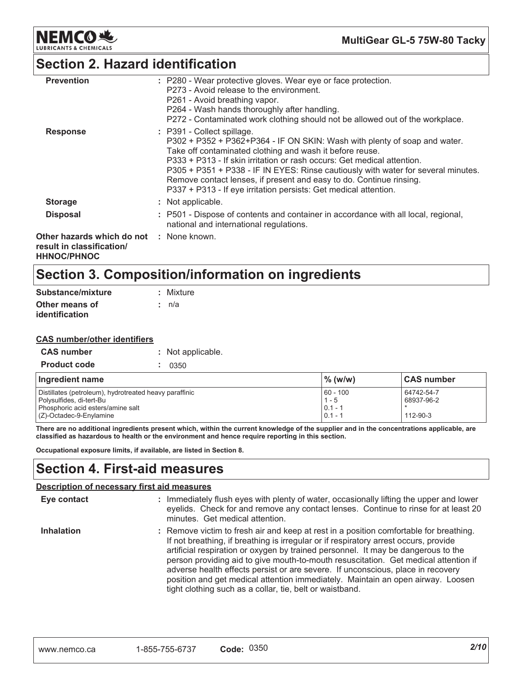

### **Section 2. Hazard identification**

| <b>Prevention</b>                                                                           | : P280 - Wear protective gloves. Wear eye or face protection.<br>P273 - Avoid release to the environment.<br>P261 - Avoid breathing vapor.<br>P264 - Wash hands thoroughly after handling.<br>P272 - Contaminated work clothing should not be allowed out of the workplace.                                                                                                                                                                                                    |
|---------------------------------------------------------------------------------------------|--------------------------------------------------------------------------------------------------------------------------------------------------------------------------------------------------------------------------------------------------------------------------------------------------------------------------------------------------------------------------------------------------------------------------------------------------------------------------------|
| <b>Response</b>                                                                             | : P391 - Collect spillage.<br>P302 + P352 + P362+P364 - IF ON SKIN: Wash with plenty of soap and water.<br>Take off contaminated clothing and wash it before reuse.<br>P333 + P313 - If skin irritation or rash occurs: Get medical attention.<br>P305 + P351 + P338 - IF IN EYES: Rinse cautiously with water for several minutes.<br>Remove contact lenses, if present and easy to do. Continue rinsing.<br>P337 + P313 - If eye irritation persists: Get medical attention. |
| <b>Storage</b>                                                                              | : Not applicable.                                                                                                                                                                                                                                                                                                                                                                                                                                                              |
| <b>Disposal</b>                                                                             | : P501 - Dispose of contents and container in accordance with all local, regional,<br>national and international regulations.                                                                                                                                                                                                                                                                                                                                                  |
| Other hazards which do not : None known.<br>result in classification/<br><b>HHNOC/PHNOC</b> |                                                                                                                                                                                                                                                                                                                                                                                                                                                                                |

### Section 3. Composition/information on ingredients

| Substance/mixture | : Mixture |
|-------------------|-----------|
| Other means of    | : n/a     |
| identification    |           |

#### **CAS number/other identifiers**

| <b>CAS number</b>   | : Not applicable. |
|---------------------|-------------------|
| <b>Product code</b> | : 0350            |

| Ingredient name                                        | $\frac{9}{6}$ (w/w) | <b>CAS number</b> |
|--------------------------------------------------------|---------------------|-------------------|
| Distillates (petroleum), hydrotreated heavy paraffinic | $60 - 100$          | 64742-54-7        |
| Polysulfides, di-tert-Bu                               | $1 - 5$             | 68937-96-2        |
| Phosphoric acid esters/amine salt                      | $0.1 - 1$           |                   |
| $(Z)$ -Octadec-9-Enylamine                             | $0.1 - 1$           | 112-90-3          |

There are no additional ingredients present which, within the current knowledge of the supplier and in the concentrations applicable, are classified as hazardous to health or the environment and hence require reporting in this section.

Occupational exposure limits, if available, are listed in Section 8.

### **Section 4. First-aid measures**

#### Description of necessary first aid measures

| Eye contact       | : Immediately flush eyes with plenty of water, occasionally lifting the upper and lower<br>eyelids. Check for and remove any contact lenses. Continue to rinse for at least 20<br>minutes. Get medical attention.                                                                                                                                                                                                                                                                                                                                                                            |
|-------------------|----------------------------------------------------------------------------------------------------------------------------------------------------------------------------------------------------------------------------------------------------------------------------------------------------------------------------------------------------------------------------------------------------------------------------------------------------------------------------------------------------------------------------------------------------------------------------------------------|
| <b>Inhalation</b> | : Remove victim to fresh air and keep at rest in a position comfortable for breathing.<br>If not breathing, if breathing is irregular or if respiratory arrest occurs, provide<br>artificial respiration or oxygen by trained personnel. It may be dangerous to the<br>person providing aid to give mouth-to-mouth resuscitation. Get medical attention if<br>adverse health effects persist or are severe. If unconscious, place in recovery<br>position and get medical attention immediately. Maintain an open airway. Loosen<br>tight clothing such as a collar, tie, belt or waistband. |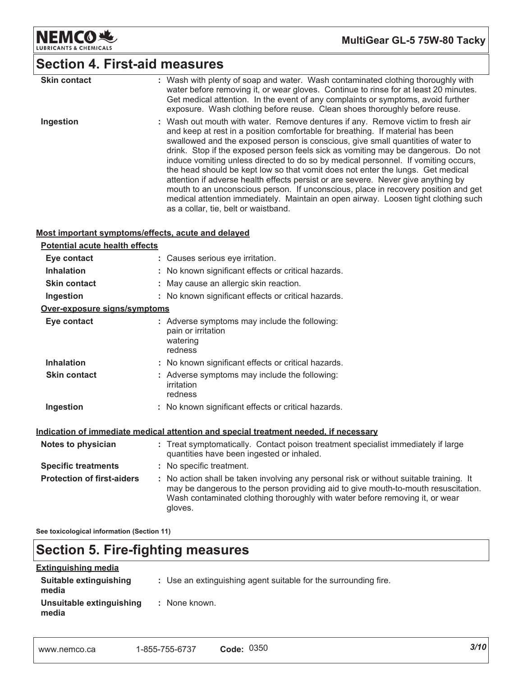

MultiGear GL-5 75W-80 Tacky

# Section 4. First-aid measures

| <b>Skin contact</b> | : Wash with plenty of soap and water. Wash contaminated clothing thoroughly with<br>water before removing it, or wear gloves. Continue to rinse for at least 20 minutes.<br>Get medical attention. In the event of any complaints or symptoms, avoid further<br>exposure. Wash clothing before reuse. Clean shoes thoroughly before reuse.                                                                                                                                                                                                                                                                                                                                                                                                                                                                                   |
|---------------------|------------------------------------------------------------------------------------------------------------------------------------------------------------------------------------------------------------------------------------------------------------------------------------------------------------------------------------------------------------------------------------------------------------------------------------------------------------------------------------------------------------------------------------------------------------------------------------------------------------------------------------------------------------------------------------------------------------------------------------------------------------------------------------------------------------------------------|
| Ingestion           | : Wash out mouth with water. Remove dentures if any. Remove victim to fresh air<br>and keep at rest in a position comfortable for breathing. If material has been<br>swallowed and the exposed person is conscious, give small quantities of water to<br>drink. Stop if the exposed person feels sick as vomiting may be dangerous. Do not<br>induce vomiting unless directed to do so by medical personnel. If vomiting occurs,<br>the head should be kept low so that vomit does not enter the lungs. Get medical<br>attention if adverse health effects persist or are severe. Never give anything by<br>mouth to an unconscious person. If unconscious, place in recovery position and get<br>medical attention immediately. Maintain an open airway. Loosen tight clothing such<br>as a collar, tie, belt or waistband. |

#### Most important symptoms/effects, acute and delayed

| <b>Potential acute health effects</b> |                                                                                                                                                                                                                                                                          |
|---------------------------------------|--------------------------------------------------------------------------------------------------------------------------------------------------------------------------------------------------------------------------------------------------------------------------|
| Eye contact                           | : Causes serious eye irritation.                                                                                                                                                                                                                                         |
| <b>Inhalation</b>                     | : No known significant effects or critical hazards.                                                                                                                                                                                                                      |
| <b>Skin contact</b>                   | : May cause an allergic skin reaction.                                                                                                                                                                                                                                   |
| Ingestion                             | : No known significant effects or critical hazards.                                                                                                                                                                                                                      |
| Over-exposure signs/symptoms          |                                                                                                                                                                                                                                                                          |
| Eye contact                           | : Adverse symptoms may include the following:<br>pain or irritation<br>watering<br>redness                                                                                                                                                                               |
| <b>Inhalation</b>                     | : No known significant effects or critical hazards.                                                                                                                                                                                                                      |
| <b>Skin contact</b>                   | : Adverse symptoms may include the following:<br>irritation<br>redness                                                                                                                                                                                                   |
| Ingestion                             | : No known significant effects or critical hazards.                                                                                                                                                                                                                      |
|                                       | Indication of immediate medical attention and special treatment needed, if necessary                                                                                                                                                                                     |
| Notes to physician                    | : Treat symptomatically. Contact poison treatment specialist immediately if large<br>quantities have been ingested or inhaled.                                                                                                                                           |
| <b>Specific treatments</b>            | : No specific treatment.                                                                                                                                                                                                                                                 |
| <b>Protection of first-aiders</b>     | : No action shall be taken involving any personal risk or without suitable training. It<br>may be dangerous to the person providing aid to give mouth-to-mouth resuscitation.<br>Wash contaminated clothing thoroughly with water before removing it, or wear<br>gloves. |

See toxicological information (Section 11)

### **Section 5. Fire-fighting measures**

| <b>Extinguishing media</b>        |                                                                 |
|-----------------------------------|-----------------------------------------------------------------|
| Suitable extinguishing<br>media   | : Use an extinguishing agent suitable for the surrounding fire. |
| Unsuitable extinguishing<br>media | : None known.                                                   |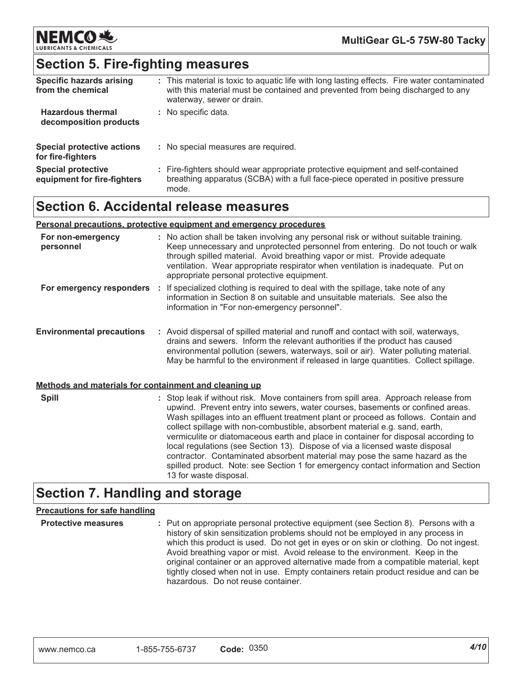

### **Section 5. Fire-fighting measures**

| <b>Specific hazards arising</b><br>from the chemical     | : This material is toxic to aquatic life with long lasting effects. Fire water contaminated<br>with this material must be contained and prevented from being discharged to any<br>waterway, sewer or drain. |
|----------------------------------------------------------|-------------------------------------------------------------------------------------------------------------------------------------------------------------------------------------------------------------|
| <b>Hazardous thermal</b><br>decomposition products       | : No specific data.                                                                                                                                                                                         |
| <b>Special protective actions</b><br>for fire-fighters   | : No special measures are required.                                                                                                                                                                         |
| <b>Special protective</b><br>equipment for fire-fighters | : Fire-fighters should wear appropriate protective equipment and self-contained<br>breathing apparatus (SCBA) with a full face-piece operated in positive pressure<br>mode.                                 |

### **Section 6. Accidental release measures**

#### Personal precautions, protective equipment and emergency procedures

| For non-emergency<br>personnel                        | : No action shall be taken involving any personal risk or without suitable training.<br>Keep unnecessary and unprotected personnel from entering. Do not touch or walk<br>through spilled material. Avoid breathing vapor or mist. Provide adequate<br>ventilation. Wear appropriate respirator when ventilation is inadequate. Put on<br>appropriate personal protective equipment.                                                                                                                                                                                                                                                                                                                           |
|-------------------------------------------------------|----------------------------------------------------------------------------------------------------------------------------------------------------------------------------------------------------------------------------------------------------------------------------------------------------------------------------------------------------------------------------------------------------------------------------------------------------------------------------------------------------------------------------------------------------------------------------------------------------------------------------------------------------------------------------------------------------------------|
| For emergency responders :                            | If specialized clothing is required to deal with the spillage, take note of any<br>information in Section 8 on suitable and unsuitable materials. See also the<br>information in "For non-emergency personnel".                                                                                                                                                                                                                                                                                                                                                                                                                                                                                                |
| <b>Environmental precautions</b>                      | : Avoid dispersal of spilled material and runoff and contact with soil, waterways,<br>drains and sewers. Inform the relevant authorities if the product has caused<br>environmental pollution (sewers, waterways, soil or air). Water polluting material.<br>May be harmful to the environment if released in large quantities. Collect spillage.                                                                                                                                                                                                                                                                                                                                                              |
| Methods and materials for containment and cleaning up |                                                                                                                                                                                                                                                                                                                                                                                                                                                                                                                                                                                                                                                                                                                |
| <b>Spill</b>                                          | : Stop leak if without risk. Move containers from spill area. Approach release from<br>upwind. Prevent entry into sewers, water courses, basements or confined areas.<br>Wash spillages into an effluent treatment plant or proceed as follows. Contain and<br>collect spillage with non-combustible, absorbent material e.g. sand, earth,<br>vermiculite or diatomaceous earth and place in container for disposal according to<br>local regulations (see Section 13). Dispose of via a licensed waste disposal<br>contractor. Contaminated absorbent material may pose the same hazard as the<br>spilled product. Note: see Section 1 for emergency contact information and Section<br>13 for waste disposal |

### **Section 7. Handling and storage**

#### **Precautions for safe handling**

**Protective measures** : Put on appropriate personal protective equipment (see Section 8). Persons with a history of skin sensitization problems should not be employed in any process in which this product is used. Do not get in eyes or on skin or clothing. Do not ingest. Avoid breathing vapor or mist. Avoid release to the environment. Keep in the original container or an approved alternative made from a compatible material, kept tightly closed when not in use. Empty containers retain product residue and can be hazardous. Do not reuse container.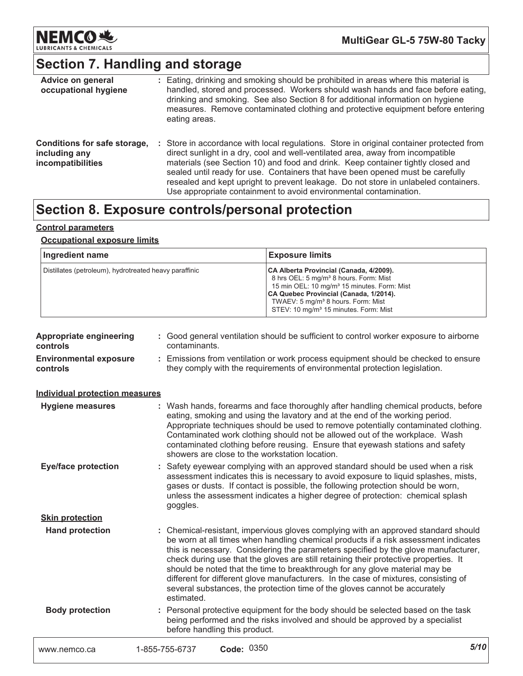

# Section 7. Handling and storage

| Advice on general<br>occupational hygiene                          | : Eating, drinking and smoking should be prohibited in areas where this material is<br>handled, stored and processed. Workers should wash hands and face before eating,<br>drinking and smoking. See also Section 8 for additional information on hygiene<br>measures. Remove contaminated clothing and protective equipment before entering<br>eating areas.                                                                                                                                                 |
|--------------------------------------------------------------------|---------------------------------------------------------------------------------------------------------------------------------------------------------------------------------------------------------------------------------------------------------------------------------------------------------------------------------------------------------------------------------------------------------------------------------------------------------------------------------------------------------------|
| Conditions for safe storage,<br>including any<br>incompatibilities | : Store in accordance with local regulations. Store in original container protected from<br>direct sunlight in a dry, cool and well-ventilated area, away from incompatible<br>materials (see Section 10) and food and drink. Keep container tightly closed and<br>sealed until ready for use. Containers that have been opened must be carefully<br>resealed and kept upright to prevent leakage. Do not store in unlabeled containers.<br>Use appropriate containment to avoid environmental contamination. |

### Section 8. Exposure controls/personal protection

#### **Control parameters**

#### **Occupational exposure limits**

| Ingredient name                                        | <b>Exposure limits</b>                                                                                                                                                                                                                                                                                    |
|--------------------------------------------------------|-----------------------------------------------------------------------------------------------------------------------------------------------------------------------------------------------------------------------------------------------------------------------------------------------------------|
| Distillates (petroleum), hydrotreated heavy paraffinic | CA Alberta Provincial (Canada, 4/2009).<br>8 hrs OEL: 5 mg/m <sup>3</sup> 8 hours. Form: Mist<br>15 min OEL: 10 mg/m <sup>3</sup> 15 minutes. Form: Mist<br>CA Quebec Provincial (Canada, 1/2014).<br>TWAEV: 5 mg/m <sup>3</sup> 8 hours. Form: Mist<br>STEV: 10 mg/m <sup>3</sup> 15 minutes. Form: Mist |

| <b>Appropriate engineering</b><br>controls | : Good general ventilation should be sufficient to control worker exposure to airborne<br>contaminants.                                                                                                                                                                                                                                                                                                                                                                                                                                                                                                                   |      |
|--------------------------------------------|---------------------------------------------------------------------------------------------------------------------------------------------------------------------------------------------------------------------------------------------------------------------------------------------------------------------------------------------------------------------------------------------------------------------------------------------------------------------------------------------------------------------------------------------------------------------------------------------------------------------------|------|
| <b>Environmental exposure</b><br>controls  | Emissions from ventilation or work process equipment should be checked to ensure<br>they comply with the requirements of environmental protection legislation.                                                                                                                                                                                                                                                                                                                                                                                                                                                            |      |
| <b>Individual protection measures</b>      |                                                                                                                                                                                                                                                                                                                                                                                                                                                                                                                                                                                                                           |      |
| <b>Hygiene measures</b>                    | : Wash hands, forearms and face thoroughly after handling chemical products, before<br>eating, smoking and using the lavatory and at the end of the working period.<br>Appropriate techniques should be used to remove potentially contaminated clothing.<br>Contaminated work clothing should not be allowed out of the workplace. Wash<br>contaminated clothing before reusing. Ensure that eyewash stations and safety<br>showers are close to the workstation location.                                                                                                                                               |      |
| <b>Eye/face protection</b>                 | : Safety eyewear complying with an approved standard should be used when a risk<br>assessment indicates this is necessary to avoid exposure to liquid splashes, mists,<br>gases or dusts. If contact is possible, the following protection should be worn,<br>unless the assessment indicates a higher degree of protection: chemical splash<br>goggles.                                                                                                                                                                                                                                                                  |      |
| <b>Skin protection</b>                     |                                                                                                                                                                                                                                                                                                                                                                                                                                                                                                                                                                                                                           |      |
| <b>Hand protection</b>                     | : Chemical-resistant, impervious gloves complying with an approved standard should<br>be worn at all times when handling chemical products if a risk assessment indicates<br>this is necessary. Considering the parameters specified by the glove manufacturer,<br>check during use that the gloves are still retaining their protective properties. It<br>should be noted that the time to breakthrough for any glove material may be<br>different for different glove manufacturers. In the case of mixtures, consisting of<br>several substances, the protection time of the gloves cannot be accurately<br>estimated. |      |
| <b>Body protection</b>                     | : Personal protective equipment for the body should be selected based on the task<br>being performed and the risks involved and should be approved by a specialist<br>before handling this product.                                                                                                                                                                                                                                                                                                                                                                                                                       |      |
| www.nemco.ca                               | Code: 0350<br>1-855-755-6737                                                                                                                                                                                                                                                                                                                                                                                                                                                                                                                                                                                              | 5/10 |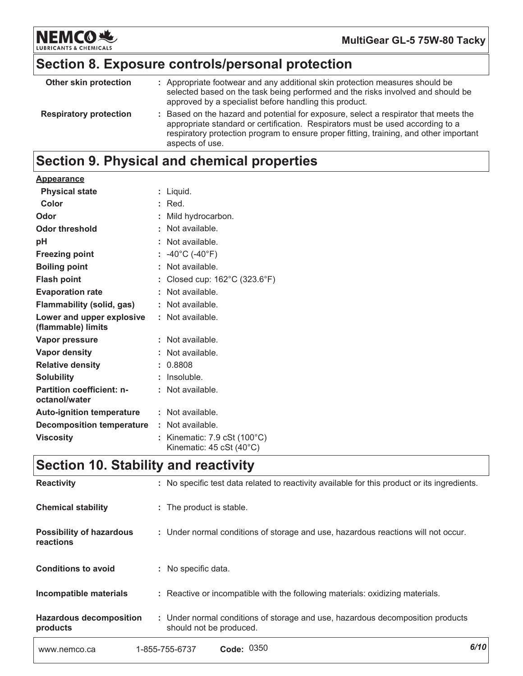

MultiGear GL-5 75W-80 Tacky

# Section 8. Exposure controls/personal protection

| Other skin protection         | : Appropriate footwear and any additional skin protection measures should be<br>selected based on the task being performed and the risks involved and should be<br>approved by a specialist before handling this product.                                                           |
|-------------------------------|-------------------------------------------------------------------------------------------------------------------------------------------------------------------------------------------------------------------------------------------------------------------------------------|
| <b>Respiratory protection</b> | : Based on the hazard and potential for exposure, select a respirator that meets the<br>appropriate standard or certification. Respirators must be used according to a<br>respiratory protection program to ensure proper fitting, training, and other important<br>aspects of use. |

### Section 9. Physical and chemical properties

| <b>Appearance</b>                                 |                                                            |
|---------------------------------------------------|------------------------------------------------------------|
| <b>Physical state</b>                             | : Liquid.                                                  |
| Color                                             | $:$ Red.                                                   |
| Odor                                              | Mild hydrocarbon.                                          |
| <b>Odor threshold</b>                             | : Not available.                                           |
| pH                                                | : Not available.                                           |
| <b>Freezing point</b>                             | : $-40^{\circ}$ C ( $-40^{\circ}$ F)                       |
| <b>Boiling point</b>                              | : Not available.                                           |
| <b>Flash point</b>                                | : Closed cup: $162^{\circ}$ C (323.6 $^{\circ}$ F)         |
| <b>Evaporation rate</b>                           | : Not available.                                           |
| <b>Flammability (solid, gas)</b>                  | : Not available.                                           |
| Lower and upper explosive<br>(flammable) limits   | : Not available.                                           |
| Vapor pressure                                    | $:$ Not available.                                         |
| <b>Vapor density</b>                              | : Not available.                                           |
| <b>Relative density</b>                           | : 0.8808                                                   |
| <b>Solubility</b>                                 | Insoluble.                                                 |
| <b>Partition coefficient: n-</b><br>octanol/water | : Not available.                                           |
| <b>Auto-ignition temperature</b>                  | : Not available.                                           |
| <b>Decomposition temperature</b>                  | : Not available.                                           |
| <b>Viscosity</b>                                  | : Kinematic: 7.9 cSt (100°C)<br>Kinematic: $45 cSt (40°C)$ |

### **Section 10. Stability and reactivity**

| www.nemco.ca                                 | Code: 0350<br>1-855-755-6737                                                                              | 6/10 |
|----------------------------------------------|-----------------------------------------------------------------------------------------------------------|------|
| <b>Hazardous decomposition</b><br>products   | : Under normal conditions of storage and use, hazardous decomposition products<br>should not be produced. |      |
| Incompatible materials                       | : Reactive or incompatible with the following materials: oxidizing materials.                             |      |
| <b>Conditions to avoid</b>                   | : No specific data.                                                                                       |      |
| <b>Possibility of hazardous</b><br>reactions | : Under normal conditions of storage and use, hazardous reactions will not occur.                         |      |
| <b>Chemical stability</b>                    | : The product is stable.                                                                                  |      |
| <b>Reactivity</b>                            | : No specific test data related to reactivity available for this product or its ingredients.              |      |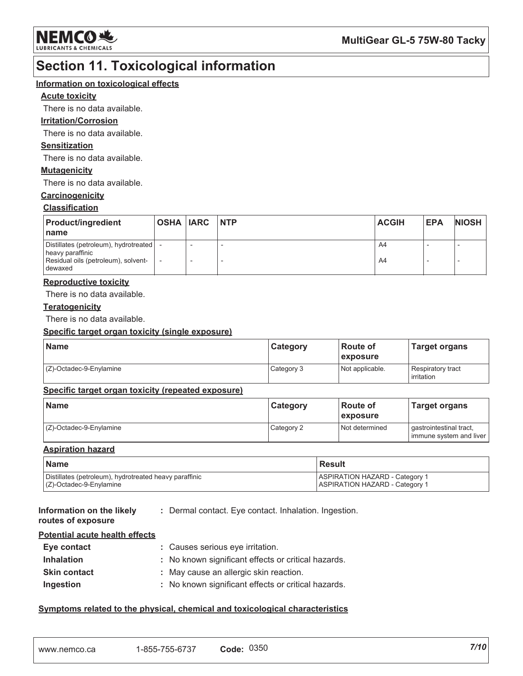

### **Section 11. Toxicological information**

#### Information on toxicological effects

#### **Acute toxicity**

There is no data available.

#### **Irritation/Corrosion**

There is no data available.

#### **Sensitization**

There is no data available.

#### **Mutagenicity**

There is no data available.

#### Carcinogenicity

#### **Classification**

| <b>Product/ingredient</b><br>I name                                                                             | <b>OSHA IARC INTP</b> |  | <b>ACGIH</b> | <b>EPA</b> | <b>NIOSH</b> |
|-----------------------------------------------------------------------------------------------------------------|-----------------------|--|--------------|------------|--------------|
| Distillates (petroleum), hydrotreated   -<br>heavy paraffinic<br>Residual oils (petroleum), solvent-<br>dewaxed |                       |  | A4<br>A4     |            |              |

#### **Reproductive toxicity**

There is no data available.

#### **Teratogenicity**

There is no data available.

#### Specific target organ toxicity (single exposure)

| Name                    | Category   | ⊩Route of<br>exposure | <b>Target organs</b>            |
|-------------------------|------------|-----------------------|---------------------------------|
| (Z)-Octadec-9-Enylamine | Category 3 | Not applicable.       | Respiratory tract<br>irritation |

#### Specific target organ toxicity (repeated exposure)

| <b>Name</b>             | Category   | l Route of<br><i><b>Lexposure</b></i> | <b>Target organs</b>                                 |
|-------------------------|------------|---------------------------------------|------------------------------------------------------|
| (Z)-Octadec-9-Enylamine | Category 2 | Not determined                        | gastrointestinal tract,<br>I immune system and liver |

#### **Aspiration hazard**

| <b>Name</b>                                            | l Result                              |
|--------------------------------------------------------|---------------------------------------|
| Distillates (petroleum), hydrotreated heavy paraffinic | <b>ASPIRATION HAZARD - Category 1</b> |
| $(C)$ -Octadec-9-Enylamine                             | <b>ASPIRATION HAZARD - Category 1</b> |

#### Information on the likely : Dermal contact. Eye contact. Inhalation. Ingestion. routes of exposure

#### Potential acute health effects

| Eye contact         | : Causes serious eye irritation.                    |
|---------------------|-----------------------------------------------------|
| <b>Inhalation</b>   | : No known significant effects or critical hazards. |
| <b>Skin contact</b> | : May cause an allergic skin reaction.              |
| Ingestion           | : No known significant effects or critical hazards. |

#### Symptoms related to the physical, chemical and toxicological characteristics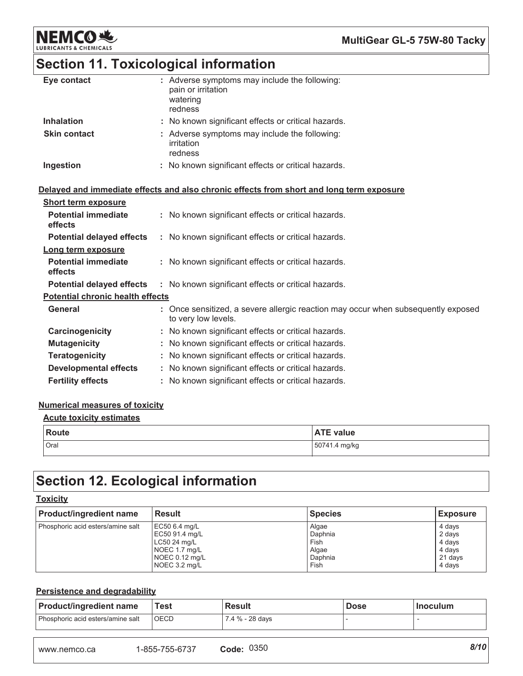

# Section 11. Toxicological information

| Eye contact         | : Adverse symptoms may include the following:<br>pain or irritation<br>watering<br>redness |
|---------------------|--------------------------------------------------------------------------------------------|
| <b>Inhalation</b>   | : No known significant effects or critical hazards.                                        |
| <b>Skin contact</b> | : Adverse symptoms may include the following:<br>irritation<br>redness                     |
| Ingestion           | : No known significant effects or critical hazards.                                        |

#### Delayed and immediate effects and also chronic effects from short and long term exposure

| <b>Short term exposure</b>              |                                                                                                          |
|-----------------------------------------|----------------------------------------------------------------------------------------------------------|
| <b>Potential immediate</b><br>effects   | : No known significant effects or critical hazards.                                                      |
| <b>Potential delayed effects</b>        | : No known significant effects or critical hazards.                                                      |
| Long term exposure                      |                                                                                                          |
| <b>Potential immediate</b><br>effects   | : No known significant effects or critical hazards.                                                      |
| <b>Potential delayed effects</b>        | : No known significant effects or critical hazards.                                                      |
| <b>Potential chronic health effects</b> |                                                                                                          |
| General                                 | : Once sensitized, a severe allergic reaction may occur when subsequently exposed<br>to very low levels. |
| Carcinogenicity                         | : No known significant effects or critical hazards.                                                      |
| <b>Mutagenicity</b>                     | : No known significant effects or critical hazards.                                                      |
| <b>Teratogenicity</b>                   | : No known significant effects or critical hazards.                                                      |
| <b>Developmental effects</b>            | : No known significant effects or critical hazards.                                                      |
| <b>Fertility effects</b>                | : No known significant effects or critical hazards.                                                      |

#### **Numerical measures of toxicity**

#### **Acute toxicity estimates**

| Route | <b>ATE value</b> |
|-------|------------------|
| Oral  | 50741.4 mg/kg    |

### **Section 12. Ecological information**

#### **Toxicity**

| <b>Product/ingredient name</b>    | <b>Result</b>  | <b>Species</b> | <b>Exposure</b> |
|-----------------------------------|----------------|----------------|-----------------|
| Phosphoric acid esters/amine salt | EC50 6.4 mg/L  | Algae          | 4 days          |
|                                   | EC50 91.4 mg/L | Daphnia        | 2 days          |
|                                   | LC50 24 mg/L   | Fish           | 4 days          |
|                                   | NOEC 1.7 mg/L  | Algae          | 4 days          |
|                                   | NOEC 0.12 mg/L | Daphnia        | 21 days         |
|                                   | NOEC 3.2 mg/L  | Fish           | 4 days          |

#### Persistence and degradability

| <b>Product/ingredient name</b>    | Test        | <b>Result</b>   | <b>Dose</b> | <b>Inoculum</b> |
|-----------------------------------|-------------|-----------------|-------------|-----------------|
| Phosphoric acid esters/amine salt | <b>OECD</b> | 7.4 % - 28 days |             |                 |

| Code: 0350 |  |  |
|------------|--|--|
|------------|--|--|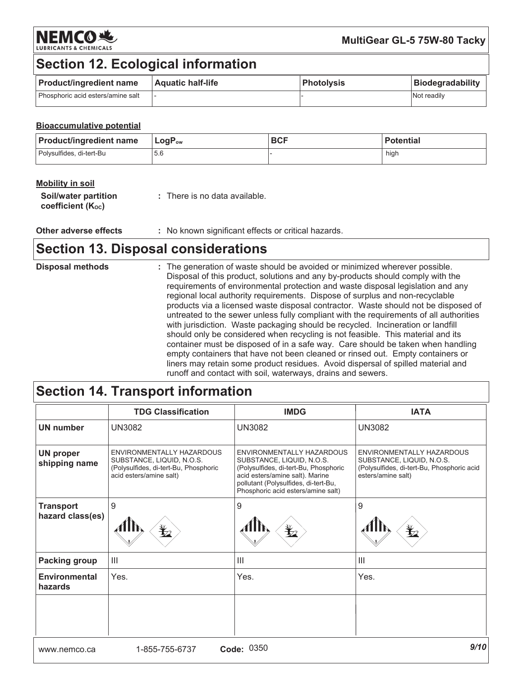

### **Section 12. Ecological information**

| <b>Product/ingredient name</b>    | <b>Aquatic half-life</b> | <b>Photolysis</b> | <b>Biodegradability</b> |
|-----------------------------------|--------------------------|-------------------|-------------------------|
| Phosphoric acid esters/amine salt |                          |                   | <b>Not readily</b>      |

#### **Bioaccumulative potential**

| <b>Product/ingredient name</b> | $\mathsf{LogP}_\mathsf{ow}$ | <b>BCF</b> | <b>Potential</b> |
|--------------------------------|-----------------------------|------------|------------------|
| Polysulfides, di-tert-Bu       | 5.6                         |            | hiah             |

| <b>Mobility in soil</b>                                |                               |
|--------------------------------------------------------|-------------------------------|
| Soil/water partition<br>coefficient (K <sub>oc</sub> ) | : There is no data available. |

Other adverse effects : No known significant effects or critical hazards.

### **Section 13. Disposal considerations**

| <b>Disposal methods</b> | : The generation of waste should be avoided or minimized wherever possible.<br>Disposal of this product, solutions and any by-products should comply with the<br>requirements of environmental protection and waste disposal legislation and any<br>regional local authority requirements. Dispose of surplus and non-recyclable<br>products via a licensed waste disposal contractor. Waste should not be disposed of<br>untreated to the sewer unless fully compliant with the requirements of all authorities<br>with jurisdiction. Waste packaging should be recycled. Incineration or landfill<br>should only be considered when recycling is not feasible. This material and its<br>container must be disposed of in a safe way. Care should be taken when handling<br>empty containers that have not been cleaned or rinsed out. Empty containers or |
|-------------------------|-------------------------------------------------------------------------------------------------------------------------------------------------------------------------------------------------------------------------------------------------------------------------------------------------------------------------------------------------------------------------------------------------------------------------------------------------------------------------------------------------------------------------------------------------------------------------------------------------------------------------------------------------------------------------------------------------------------------------------------------------------------------------------------------------------------------------------------------------------------|
|                         | liners may retain some product residues. Avoid dispersal of spilled material and<br>runoff and contact with soil, waterways, drains and sewers.                                                                                                                                                                                                                                                                                                                                                                                                                                                                                                                                                                                                                                                                                                             |

# Section 14. Transport information

|                                      | <b>TDG Classification</b>                                                                                                  | <b>IMDG</b>                                                                                                                                                                                                      | <b>IATA</b>                                                                                                                |
|--------------------------------------|----------------------------------------------------------------------------------------------------------------------------|------------------------------------------------------------------------------------------------------------------------------------------------------------------------------------------------------------------|----------------------------------------------------------------------------------------------------------------------------|
| <b>UN number</b>                     | <b>UN3082</b>                                                                                                              | <b>UN3082</b>                                                                                                                                                                                                    | <b>UN3082</b>                                                                                                              |
| <b>UN proper</b><br>shipping name    | ENVIRONMENTALLY HAZARDOUS<br>SUBSTANCE, LIQUID, N.O.S.<br>(Polysulfides, di-tert-Bu, Phosphoric<br>acid esters/amine salt) | ENVIRONMENTALLY HAZARDOUS<br>SUBSTANCE, LIQUID, N.O.S.<br>(Polysulfides, di-tert-Bu, Phosphoric<br>acid esters/amine salt). Marine<br>pollutant (Polysulfides, di-tert-Bu,<br>Phosphoric acid esters/amine salt) | ENVIRONMENTALLY HAZARDOUS<br>SUBSTANCE, LIQUID, N.O.S.<br>(Polysulfides, di-tert-Bu, Phosphoric acid<br>esters/amine salt) |
| <b>Transport</b><br>hazard class(es) | 9                                                                                                                          | 9<br>⊁∠                                                                                                                                                                                                          | 9<br>₩                                                                                                                     |
| <b>Packing group</b>                 | $\mathbf{III}$                                                                                                             | $\mathbf{III}$                                                                                                                                                                                                   | $\mathbf{III}$                                                                                                             |
| <b>Environmental</b><br>hazards      | Yes.                                                                                                                       | Yes.                                                                                                                                                                                                             | Yes.                                                                                                                       |
|                                      |                                                                                                                            |                                                                                                                                                                                                                  |                                                                                                                            |